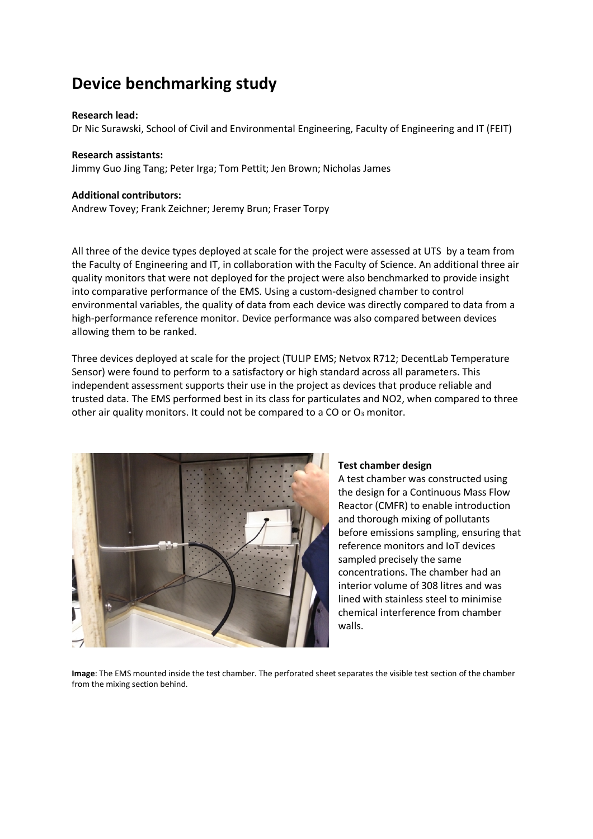# **Device benchmarking study**

#### **Research lead:**

Dr Nic Surawski, School of Civil and Environmental Engineering, Faculty of Engineering and IT (FEIT)

#### **Research assistants:**

Jimmy Guo Jing Tang; Peter Irga; Tom Pettit; Jen Brown; Nicholas James

#### **Additional contributors:**

Andrew Tovey; Frank Zeichner; Jeremy Brun; Fraser Torpy

All three of the device types deployed at scale for the project were assessed at UTS by a team from the Faculty of Engineering and IT, in collaboration with the Faculty of Science. An additional three air quality monitors that were not deployed for the project were also benchmarked to provide insight into comparative performance of the EMS. Using a custom-designed chamber to control environmental variables, the quality of data from each device was directly compared to data from a high-performance reference monitor. Device performance was also compared between devices allowing them to be ranked.

Three devices deployed at scale for the project (TULIP EMS; Netvox R712; DecentLab Temperature Sensor) were found to perform to a satisfactory or high standard across all parameters. This independent assessment supports their use in the project as devices that produce reliable and trusted data. The EMS performed best in its class for particulates and NO2, when compared to three other air quality monitors. It could not be compared to a CO or  $O<sub>3</sub>$  monitor.



#### **Test chamber design**

A test chamber was constructed using the design for a Continuous Mass Flow Reactor (CMFR) to enable introduction and thorough mixing of pollutants before emissions sampling, ensuring that reference monitors and IoT devices sampled precisely the same concentrations. The chamber had an interior volume of 308 litres and was lined with stainless steel to minimise chemical interference from chamber walls.

**Image**: The EMS mounted inside the test chamber. The perforated sheet separates the visible test section of the chamber from the mixing section behind.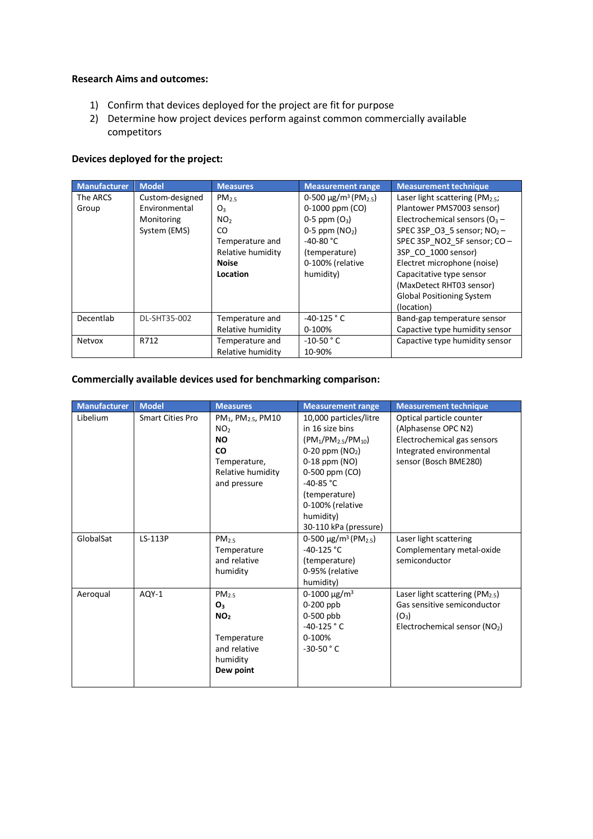### **Research Aims and outcomes:**

- 1) Confirm that devices deployed for the project are fit for purpose
- 2) Determine how project devices perform against common commercially available competitors

## **Devices deployed for the project:**

| <b>Manufacturer</b> | <b>Model</b>    | <b>Measures</b>   | <b>Measurement range</b>                          | <b>Measurement technique</b>          |
|---------------------|-----------------|-------------------|---------------------------------------------------|---------------------------------------|
| The ARCS            | Custom-designed | PM <sub>2.5</sub> | 0-500 $\mu$ g/m <sup>3</sup> (PM <sub>2.5</sub> ) | Laser light scattering ( $PM_{2.5}$ ; |
| Group               | Environmental   | O3                | 0-1000 ppm (CO)                                   | Plantower PMS7003 sensor)             |
|                     | Monitoring      | NO <sub>2</sub>   | 0-5 ppm $(O_3)$                                   | Electrochemical sensors ( $O_3$ –     |
|                     | System (EMS)    | CO.               | $0-5$ ppm $(NO2)$                                 | SPEC 3SP O3 5 sensor; $NO2$ -         |
|                     |                 | Temperature and   | $-40-80 °C$                                       | SPEC 3SP_NO2_5F sensor; CO -          |
|                     |                 | Relative humidity | (temperature)                                     | 3SP CO 1000 sensor)                   |
|                     |                 | <b>Noise</b>      | 0-100% (relative                                  | Electret microphone (noise)           |
|                     |                 | Location          | humidity)                                         | Capacitative type sensor              |
|                     |                 |                   |                                                   | (MaxDetect RHT03 sensor)              |
|                     |                 |                   |                                                   | <b>Global Positioning System</b>      |
|                     |                 |                   |                                                   | (location)                            |
| Decentlab           | DL-SHT35-002    | Temperature and   | $-40-125$ ° C                                     | Band-gap temperature sensor           |
|                     |                 | Relative humidity | 0-100%                                            | Capactive type humidity sensor        |
| <b>Netvox</b>       | R712            | Temperature and   | $-10-50$ $\degree$ C                              | Capactive type humidity sensor        |
|                     |                 | Relative humidity | 10-90%                                            |                                       |

## **Commercially available devices used for benchmarking comparison:**

| <b>Manufacturer</b> | <b>Model</b>            | <b>Measures</b>                                                                                                                              | <b>Measurement range</b>                                                                                                                                                                                                      | <b>Measurement technique</b>                                                                                                        |
|---------------------|-------------------------|----------------------------------------------------------------------------------------------------------------------------------------------|-------------------------------------------------------------------------------------------------------------------------------------------------------------------------------------------------------------------------------|-------------------------------------------------------------------------------------------------------------------------------------|
| Libelium            | <b>Smart Cities Pro</b> | PM <sub>1</sub> , PM <sub>2.5</sub> , PM10<br>NO <sub>2</sub><br><b>NO</b><br><b>CO</b><br>Temperature,<br>Relative humidity<br>and pressure | 10,000 particles/litre<br>in 16 size bins<br>$(PM_1/PM_{2.5}/PM_{10})$<br>$0-20$ ppm $(NO2)$<br>$0-18$ ppm $(NO)$<br>0-500 ppm (CO)<br>$-40-85 °C$<br>(temperature)<br>0-100% (relative<br>humidity)<br>30-110 kPa (pressure) | Optical particle counter<br>(Alphasense OPC N2)<br>Electrochemical gas sensors<br>Integrated environmental<br>sensor (Bosch BME280) |
| GlobalSat           | LS-113P                 | PM <sub>25</sub><br>Temperature<br>and relative<br>humidity                                                                                  | 0-500 $\mu$ g/m <sup>3</sup> (PM <sub>2.5</sub> )<br>$-40-125$ °C<br>(temperature)<br>0-95% (relative<br>humidity)                                                                                                            | Laser light scattering<br>Complementary metal-oxide<br>semiconductor                                                                |
| Aeroqual            | AQY-1                   | PM <sub>2.5</sub><br>O <sub>3</sub><br>NO <sub>2</sub><br>Temperature<br>and relative<br>humidity<br>Dew point                               | 0-1000 $\mu$ g/m <sup>3</sup><br>$0-200$ ppb<br>0-500 pbb<br>$-40-125$ ° C<br>0-100%<br>$-30-50$ ° C                                                                                                                          | Laser light scattering (PM <sub>2.5</sub> )<br>Gas sensitive semiconductor<br>$(O_3)$<br>Electrochemical sensor (NO2)               |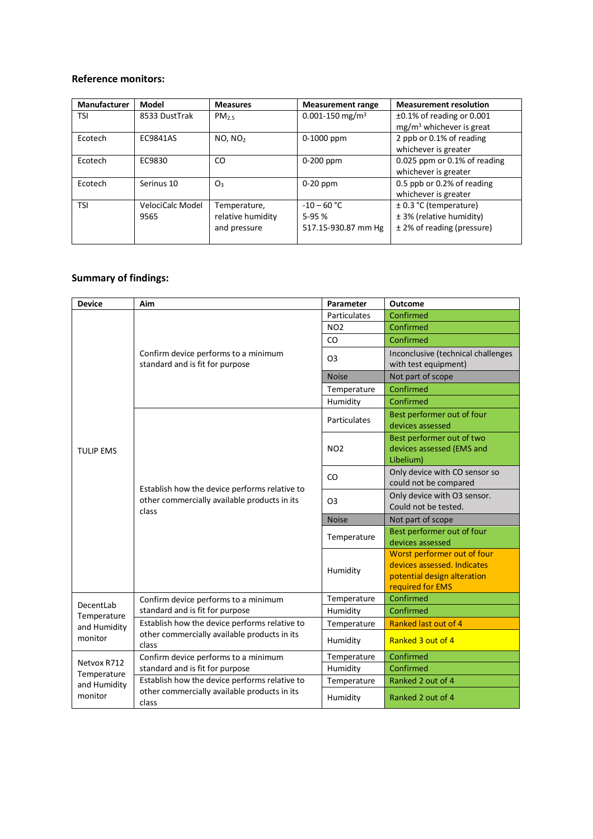### **Reference monitors:**

| Manufacturer | Model            | <b>Measures</b>     | <b>Measurement range</b>    | <b>Measurement resolution</b>   |
|--------------|------------------|---------------------|-----------------------------|---------------------------------|
| <b>TSI</b>   | 8533 DustTrak    | PM <sub>25</sub>    | 0.001-150 mg/m <sup>3</sup> | $\pm 0.1\%$ of reading or 0.001 |
|              |                  |                     |                             | $mg/m3$ whichever is great      |
| Ecotech      | EC9841AS         | NO. NO <sub>2</sub> | $0-1000$ ppm                | 2 ppb or 0.1% of reading        |
|              |                  |                     |                             | whichever is greater            |
| Ecotech      | EC9830           | CO                  | 0-200 ppm                   | 0.025 ppm or $0.1\%$ of reading |
|              |                  |                     |                             | whichever is greater            |
| Ecotech      | Serinus 10       | O <sub>3</sub>      | $0-20$ ppm                  | 0.5 ppb or 0.2% of reading      |
|              |                  |                     |                             | whichever is greater            |
| <b>TSI</b>   | VelociCalc Model | Temperature,        | $-10 - 60 °C$               | $\pm$ 0.3 °C (temperature)      |
|              | 9565             | relative humidity   | $5-95%$                     | ± 3% (relative humidity)        |
|              |                  | and pressure        | 517.15-930.87 mm Hg         | ± 2% of reading (pressure)      |
|              |                  |                     |                             |                                 |

## **Summary of findings:**

| <b>Device</b>                                         | Aim                                                                                                    | Parameter      | Outcome                                                                                                       |
|-------------------------------------------------------|--------------------------------------------------------------------------------------------------------|----------------|---------------------------------------------------------------------------------------------------------------|
|                                                       |                                                                                                        | Particulates   | Confirmed                                                                                                     |
|                                                       |                                                                                                        | <b>NO2</b>     | Confirmed                                                                                                     |
|                                                       |                                                                                                        | CO             | Confirmed                                                                                                     |
|                                                       | Confirm device performs to a minimum<br>standard and is fit for purpose                                | O <sub>3</sub> | Inconclusive (technical challenges<br>with test equipment)                                                    |
|                                                       |                                                                                                        | <b>Noise</b>   | Not part of scope                                                                                             |
|                                                       |                                                                                                        | Temperature    | Confirmed                                                                                                     |
|                                                       |                                                                                                        | Humidity       | Confirmed                                                                                                     |
| <b>TULIP EMS</b>                                      |                                                                                                        | Particulates   | Best performer out of four<br>devices assessed                                                                |
|                                                       |                                                                                                        | <b>NO2</b>     | Best performer out of two<br>devices assessed (EMS and<br>Libelium)                                           |
|                                                       |                                                                                                        | CO             | Only device with CO sensor so<br>could not be compared                                                        |
|                                                       | Establish how the device performs relative to<br>other commercially available products in its<br>class | O3             | Only device with O3 sensor.<br>Could not be tested.                                                           |
|                                                       |                                                                                                        | <b>Noise</b>   | Not part of scope                                                                                             |
|                                                       |                                                                                                        | Temperature    | Best performer out of four<br>devices assessed                                                                |
|                                                       |                                                                                                        | Humidity       | Worst performer out of four<br>devices assessed. Indicates<br>potential design alteration<br>required for EMS |
| DecentLab<br>Temperature<br>and Humidity<br>monitor   | Confirm device performs to a minimum                                                                   | Temperature    | Confirmed                                                                                                     |
|                                                       | standard and is fit for purpose                                                                        | Humidity       | Confirmed                                                                                                     |
|                                                       | Establish how the device performs relative to                                                          | Temperature    | Ranked last out of 4                                                                                          |
|                                                       | other commercially available products in its<br>class                                                  | Humidity       | Ranked 3 out of 4                                                                                             |
| Netvox R712<br>Temperature<br>and Humidity<br>monitor | Confirm device performs to a minimum                                                                   | Temperature    | Confirmed                                                                                                     |
|                                                       | standard and is fit for purpose                                                                        | Humidity       | Confirmed                                                                                                     |
|                                                       | Establish how the device performs relative to                                                          | Temperature    | Ranked 2 out of 4                                                                                             |
|                                                       | other commercially available products in its<br>class                                                  | Humidity       | Ranked 2 out of 4                                                                                             |